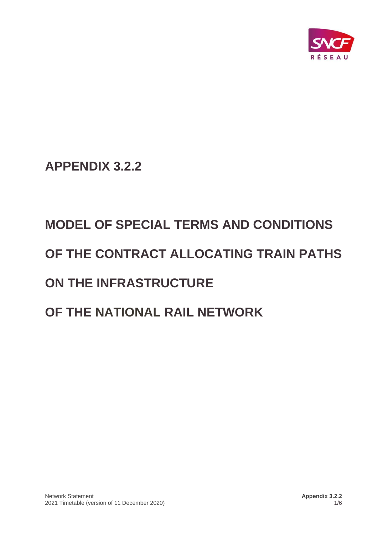

**APPENDIX 3.2.2**

# **MODEL OF SPECIAL TERMS AND CONDITIONS OF THE CONTRACT ALLOCATING TRAIN PATHS ON THE INFRASTRUCTURE OF THE NATIONAL RAIL NETWORK**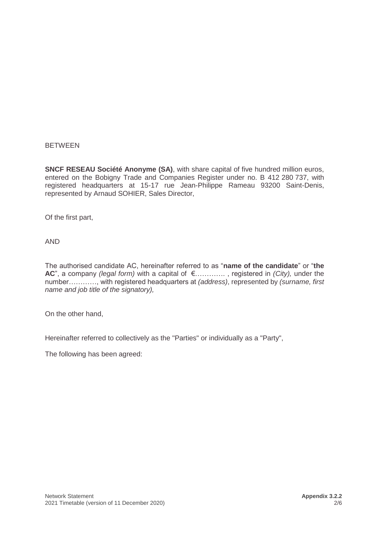# **BETWEEN**

**SNCF RESEAU Société Anonyme (SA)**, with share capital of five hundred million euros, entered on the Bobigny Trade and Companies Register under no. B 412 280 737, with registered headquarters at 15-17 rue Jean-Philippe Rameau 93200 Saint-Denis, represented by Arnaud SOHIER, Sales Director,

Of the first part,

AND

The authorised candidate AC, hereinafter referred to as "**name of the candidate**" or "**the AC**", a company *(legal form)* with a capital of €…………. , registered in *(City),* under the number…………, with registered headquarters at *(address)*, represented by *(surname, first name and job title of the signatory),* 

On the other hand,

Hereinafter referred to collectively as the "Parties" or individually as a "Party",

The following has been agreed: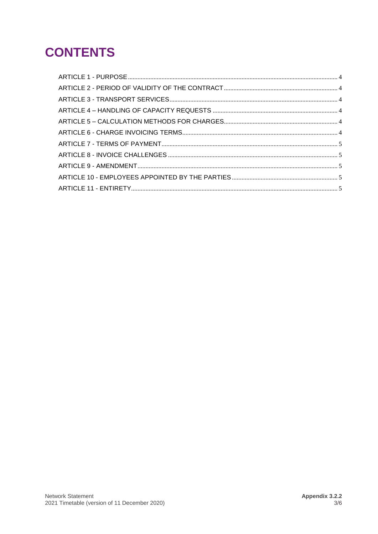# **CONTENTS**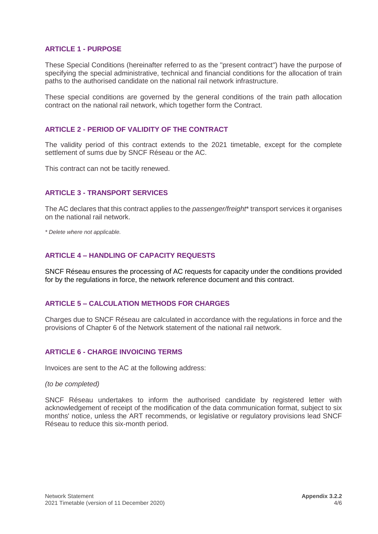# <span id="page-3-0"></span>**ARTICLE 1 - PURPOSE**

These Special Conditions (hereinafter referred to as the "present contract") have the purpose of specifying the special administrative, technical and financial conditions for the allocation of train paths to the authorised candidate on the national rail network infrastructure.

These special conditions are governed by the general conditions of the train path allocation contract on the national rail network, which together form the Contract.

#### <span id="page-3-1"></span>**ARTICLE 2 - PERIOD OF VALIDITY OF THE CONTRACT**

The validity period of this contract extends to the 2021 timetable, except for the complete settlement of sums due by SNCF Réseau or the AC.

This contract can not be tacitly renewed.

#### <span id="page-3-2"></span>**ARTICLE 3 - TRANSPORT SERVICES**

The AC declares that this contract applies to the *passenger/freight*\* transport services it organises on the national rail network.

*\* Delete where not applicable.*

#### <span id="page-3-3"></span>**ARTICLE 4 – HANDLING OF CAPACITY REQUESTS**

SNCF Réseau ensures the processing of AC requests for capacity under the conditions provided for by the regulations in force, the network reference document and this contract.

#### <span id="page-3-4"></span>**ARTICLE 5 – CALCULATION METHODS FOR CHARGES**

Charges due to SNCF Réseau are calculated in accordance with the regulations in force and the provisions of Chapter 6 of the Network statement of the national rail network.

#### <span id="page-3-5"></span>**ARTICLE 6 - CHARGE INVOICING TERMS**

Invoices are sent to the AC at the following address:

#### *(to be completed)*

SNCF Réseau undertakes to inform the authorised candidate by registered letter with acknowledgement of receipt of the modification of the data communication format, subject to six months' notice, unless the ART recommends, or legislative or regulatory provisions lead SNCF Réseau to reduce this six-month period.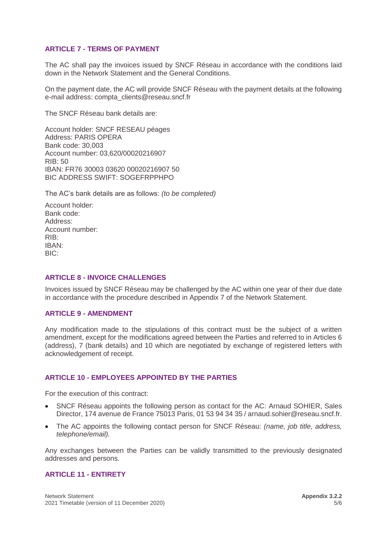## <span id="page-4-0"></span>**ARTICLE 7 - TERMS OF PAYMENT**

The AC shall pay the invoices issued by SNCF Réseau in accordance with the conditions laid down in the Network Statement and the General Conditions.

On the payment date, the AC will provide SNCF Réseau with the payment details at the following e-mail address: [compta\\_clients@reseau.sncf.fr](mailto:compta_clients@reseau.sncf.fr)

The SNCF Réseau bank details are:

Account holder: SNCF RESEAU péages Address: PARIS OPERA Bank code: 30,003 Account number: 03,620/00020216907 RIB: 50 IBAN: FR76 30003 03620 00020216907 50 BIC ADDRESS SWIFT: SOGEFRPPHPO

The AC's bank details are as follows: *(to be completed)*

Account holder: Bank code: Address: Account number: RIB: IBAN: BIC:

#### <span id="page-4-1"></span>**ARTICLE 8 - INVOICE CHALLENGES**

Invoices issued by SNCF Réseau may be challenged by the AC within one year of their due date in accordance with the procedure described in Appendix 7 of the Network Statement.

#### <span id="page-4-2"></span>**ARTICLE 9 - AMENDMENT**

Any modification made to the stipulations of this contract must be the subject of a written amendment, except for the modifications agreed between the Parties and referred to in Articles 6 (address), 7 (bank details) and 10 which are negotiated by exchange of registered letters with acknowledgement of receipt.

#### <span id="page-4-3"></span>**ARTICLE 10 - EMPLOYEES APPOINTED BY THE PARTIES**

For the execution of this contract:

- SNCF Réseau appoints the following person as contact for the AC: Arnaud SOHIER, Sales Director, 174 avenue de France 75013 Paris, 01 53 94 34 35 / arnaud.sohier@reseau.sncf.fr.
- The AC appoints the following contact person for SNCF Réseau: *(name, job title, address, telephone/email).*

Any exchanges between the Parties can be validly transmitted to the previously designated addresses and persons.

## <span id="page-4-4"></span>**ARTICLE 11 - ENTIRETY**